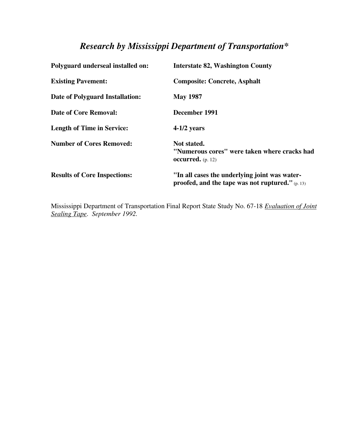## *Research by Mississippi Department of Transportation\**

| Polyguard underseal installed on:   | <b>Interstate 82, Washington County</b>                                                             |
|-------------------------------------|-----------------------------------------------------------------------------------------------------|
| <b>Existing Pavement:</b>           | <b>Composite: Concrete, Asphalt</b>                                                                 |
| Date of Polyguard Installation:     | <b>May 1987</b>                                                                                     |
| <b>Date of Core Removal:</b>        | December 1991                                                                                       |
| <b>Length of Time in Service:</b>   | $4-1/2$ years                                                                                       |
| <b>Number of Cores Removed:</b>     | Not stated.<br>"Numerous cores" were taken where cracks had<br><b>occurred.</b> $(p. 12)$           |
| <b>Results of Core Inspections:</b> | "In all cases the underlying joint was water-<br>proofed, and the tape was not ruptured." $(p. 13)$ |

Mississippi Department of Transportation Final Report State Study No. 67-18 *Evaluation of Joint Sealing Tape*. *September 1992.*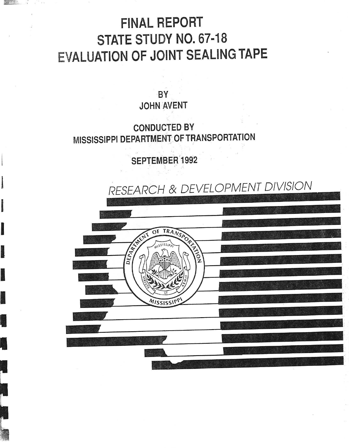## **FINAL REPORT** STATE STUDY NO. 67-18 **EVALUATION OF JOINT SEALING TAPE**

BY **JOHN AVENT** 

**CONDUCTED BY** MISSISSIPPI DEPARTMENT OF TRANSPORTATION

**SEPTEMBER 1992** 

2010年

RESEARCH & DEVELOPMENT DIVISION NOW DEPA MISSISSI